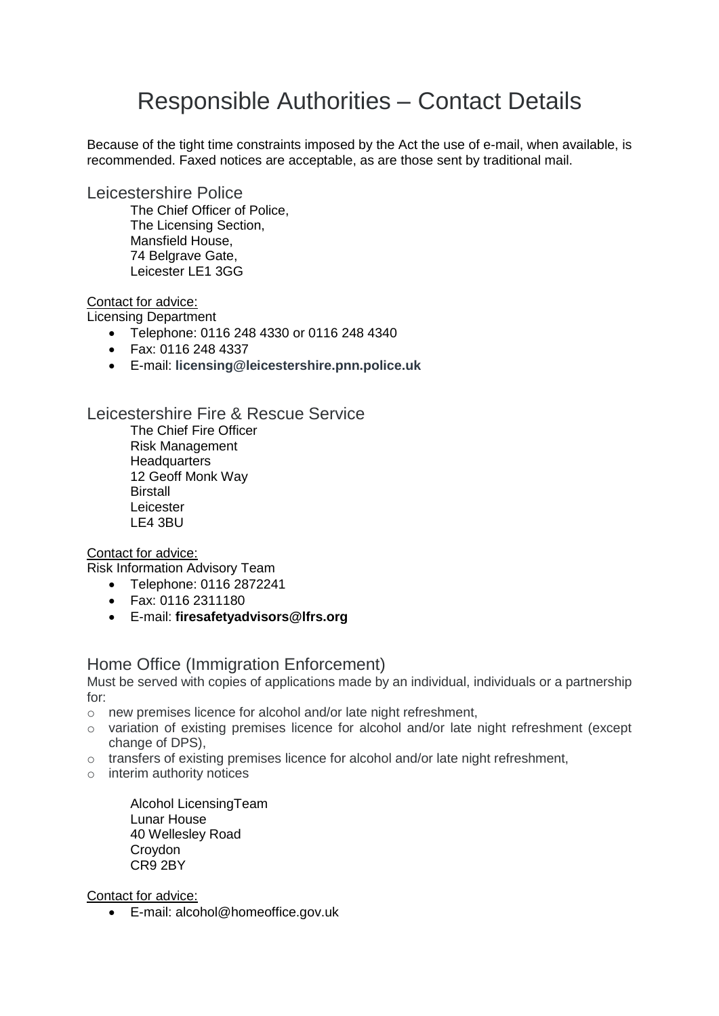# Responsible Authorities – Contact Details

Because of the tight time constraints imposed by the Act the use of e-mail, when available, is recommended. Faxed notices are acceptable, as are those sent by traditional mail.

Leicestershire Police

The Chief Officer of Police, The Licensing Section, Mansfield House, 74 Belgrave Gate, Leicester LE1 3GG

#### Contact for advice:

Licensing Department

- Telephone: 0116 248 4330 or 0116 248 4340
- Fax: 0116 248 4337
- E-mail: **[licensing@leicestershire.pnn.police.uk](mailto:licensing@leicestershire.pnn.police.uk)**

Leicestershire Fire & Rescue Service

The Chief Fire Officer Risk Management **Headquarters** 12 Geoff Monk Way **Birstall** Leicester LE4 3BU

#### Contact for advice:

Risk Information Advisory Team

- Telephone: 0116 2872241
- Fax: 0116 2311180
- E-mail: **[firesafetyadvisors@lfrs.org](mailto:firesafetyadvisors@lfrs.org)**

### Home Office (Immigration Enforcement)

Must be served with copies of applications made by an individual, individuals or a partnership for:

- o new premises licence for alcohol and/or late night refreshment,
- o variation of existing premises licence for alcohol and/or late night refreshment (except change of DPS),
- o transfers of existing premises licence for alcohol and/or late night refreshment,
- o interim authority notices

Alcohol LicensingTeam Lunar House 40 Wellesley Road **Croydon** CR9 2BY

Contact for advice:

• E-mail: alcohol@homeoffice.gov.uk